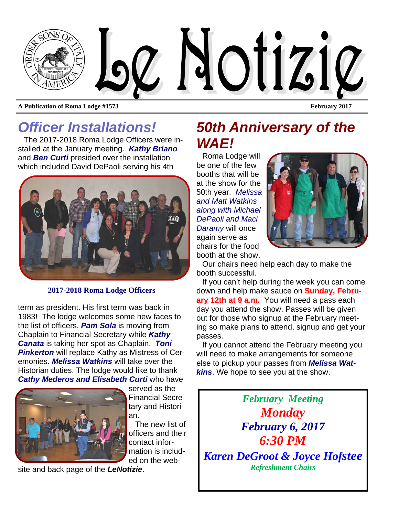

# *Officer Installations!*

The 2017-2018 Roma Lodge Officers were installed at the January meeting. *Kathy Briano*  and *Ben Curti* presided over the installation which included David DePaoli serving his 4th



#### **2017-2018 Roma Lodge Officers**

term as president. His first term was back in 1983! The lodge welcomes some new faces to the list of officers. *Pam Sola* is moving from Chaplain to Financial Secretary while *Kathy Canata* is taking her spot as Chaplain. *Toni Pinkerton* will replace Kathy as Mistress of Ceremonies. *Melissa Watkins* will take over the Historian duties. The lodge would like to thank *Cathy Mederos and Elisabeth Curti* who have



served as the Financial Secretary and Historian.

 The new list of officers and their contact information is included on the web-

site and back page of the *LeNotizie*.

## *50th Anniversary of the WAE!*

Roma Lodge will be one of the few booths that will be at the show for the 50th year. *Melissa and Matt Watkins along with Michael DePaoli and Maci Daramy* will once again serve as chairs for the food booth at the show.



Our chairs need help each day to make the booth successful.

If you can't help during the week you can come down and help make sauce on **Sunday, February 12th at 9 a.m.** You will need a pass each day you attend the show. Passes will be given out for those who signup at the February meeting so make plans to attend, signup and get your passes.

If you cannot attend the February meeting you will need to make arrangements for someone else to pickup your passes from *Melissa Watkins*. We hope to see you at the show.

*February Meeting Monday February 6, 2017 6:30 PM Karen DeGroot & Joyce Hofstee Refreshment Chairs*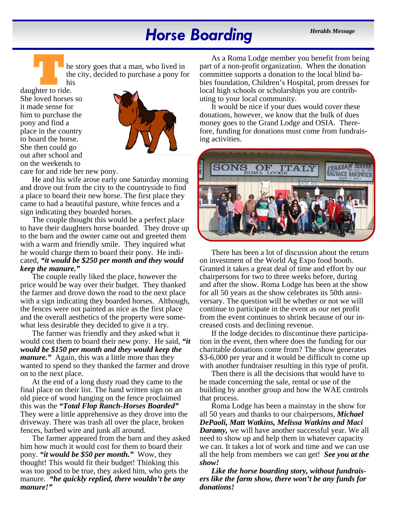## *Horse Boarding Heralds Message*

**T** he story goes that a man, who lived in the city, decided to purchase a pony for his

daughter to ride. She loved horses so it made sense for him to purchase the pony and find a place in the country to board the horse. She then could go out after school and on the weekends to



care for and ride her new pony.

He and his wife arose early one Saturday morning and drove out from the city to the countryside to find a place to board their new horse. The first place they came to had a beautiful pasture, white fences and a sign indicating they boarded horses.

The couple thought this would be a perfect place to have their daughters horse boarded. They drove up to the barn and the owner came out and greeted them with a warm and friendly smile. They inquired what he would charge them to board their pony. He indicated, *"it would be \$250 per month and they would keep the manure."*

The couple really liked the place, however the price would be way over their budget. They thanked the farmer and drove down the road to the next place with a sign indicating they boarded horses. Although, the fences were not painted as nice as the first place and the overall aesthetics of the property were somewhat less desirable they decided to give it a try.

The farmer was friendly and they asked what it would cost them to board their new pony. He said, *"it would be \$150 per month and they would keep the manure."* Again, this was a little more than they wanted to spend so they thanked the farmer and drove on to the next place.

At the end of a long dusty road they came to the final place on their list. The hand written sign on an old piece of wood hanging on the fence proclaimed this was the *"Total Flop Ranch-Horses Boarded"* They were a little apprehensive as they drove into the driveway. There was trash all over the place, broken fences, barbed wire and junk all around.

The farmer appeared from the barn and they asked him how much it would cost for them to board their pony. *"it would be \$50 per month."* Wow, they thought! This would fit their budget! Thinking this was too good to be true, they asked him, who gets the manure. *"he quickly replied, there wouldn't be any manure!"*

As a Roma Lodge member you benefit from being part of a non-profit organization. When the donation committee supports a donation to the local blind babies foundation, Children's Hospital, prom dresses for local high schools or scholarships you are contributing to your local community.

It would be nice if your dues would cover these donations, however, we know that the bulk of dues money goes to the Grand Lodge and OSIA. Therefore, funding for donations must come from fundraising activities.



There has been a lot of discussion about the return on investment of the World Ag Expo food booth. Granted it takes a great deal of time and effort by our chairpersons for two to three weeks before, during and after the show. Roma Lodge has been at the show for all 50 years as the show celebrates its 50th anniversary. The question will be whether or not we will continue to participate in the event as our net profit from the event continues to shrink because of our increased costs and declining revenue.

If the lodge decides to discontinue there participation in the event, then where does the funding for our charitable donations come from? The show generates \$3-6,000 per year and it would be difficult to come up with another fundraiser resulting in this type of profit.

Then there is all the decisions that would have to be made concerning the sale, rental or use of the building by another group and how the WAE controls that process.

Roma Lodge has been a mainstay in the show for all 50 years and thanks to our chairpersons, *Michael DePaoli, Matt Watkins, Melissa Watkins and Maci Daramy,* we will have another successful year. We all need to show up and help them in whatever capacity we can. It takes a lot of work and time and we can use all the help from members we can get! *See you at the show!* 

*Like the horse boarding story, without fundraisers like the farm show, there won't be any funds for donations!*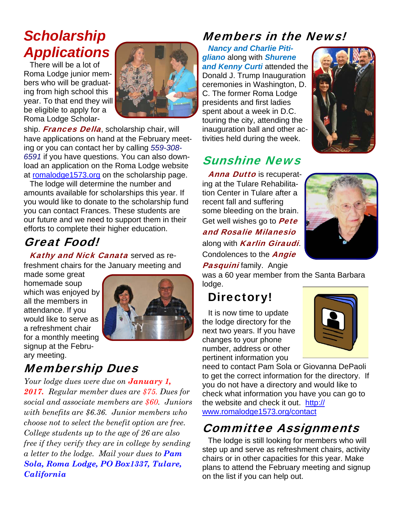# *Scholarship Applications*

There will be a lot of Roma Lodge junior members who will be graduating from high school this year. To that end they will be eligible to apply for a Roma Lodge Scholar-



ship. **Frances Della**, scholarship chair, will have applications on hand at the February meeting or you can contact her by calling *559-308- 6591* if you have questions. You can also download an application on the Roma Lodge website at romalodge1573.org on the scholarship page.

The lodge will determine the number and amounts available for scholarships this year. If you would like to donate to the scholarship fund you can contact Frances. These students are our future and we need to support them in their efforts to complete their higher education.

## Great Food!

Kathy and Nick Canata served as refreshment chairs for the January meeting and

made some great homemade soup which was enjoyed by all the members in attendance. If you would like to serve as a refreshment chair for a monthly meeting signup at the February meeting.



## Membership Dues

*Your lodge dues were due on January 1, 2017. Regular member dues are \$75. Dues for social and associate members are \$60. Juniors with benefits are \$6.36. Junior members who choose not to select the benefit option are free. College students up to the age of 26 are also free if they verify they are in college by sending a letter to the lodge. Mail your dues to Pam Sola, Roma Lodge, PO Box1337, Tulare, California* 

## Members in the News!

*Nancy and Charlie Pitigliano* along with *Shurene and Kenny Curti* attended the Donald J. Trump Inauguration ceremonies in Washington, D. C. The former Roma Lodge presidents and first ladies spent about a week in D.C. touring the city, attending the inauguration ball and other activities held during the week.

## Sunshine News

**Anna Dutto** is recuperating at the Tulare Rehabilitation Center in Tulare after a recent fall and suffering some bleeding on the brain. Get well wishes go to **Pete** and Rosalie Milanesio along with **Karlin Giraudi**. Condolences to the **Angie Pasquini** family. Angie



was a 60 year member from the Santa Barbara lodge.

## Directory!

It is now time to update the lodge directory for the next two years. If you have changes to your phone number, address or other pertinent information you



need to contact Pam Sola or Giovanna DePaoli to get the correct information for the directory. If you do not have a directory and would like to check what information you have you can go to the website and check it out. http:// www.romalodge1573.org/contact

## Committee Assignments

The lodge is still looking for members who will step up and serve as refreshment chairs, activity chairs or in other capacities for this year. Make plans to attend the February meeting and signup on the list if you can help out.